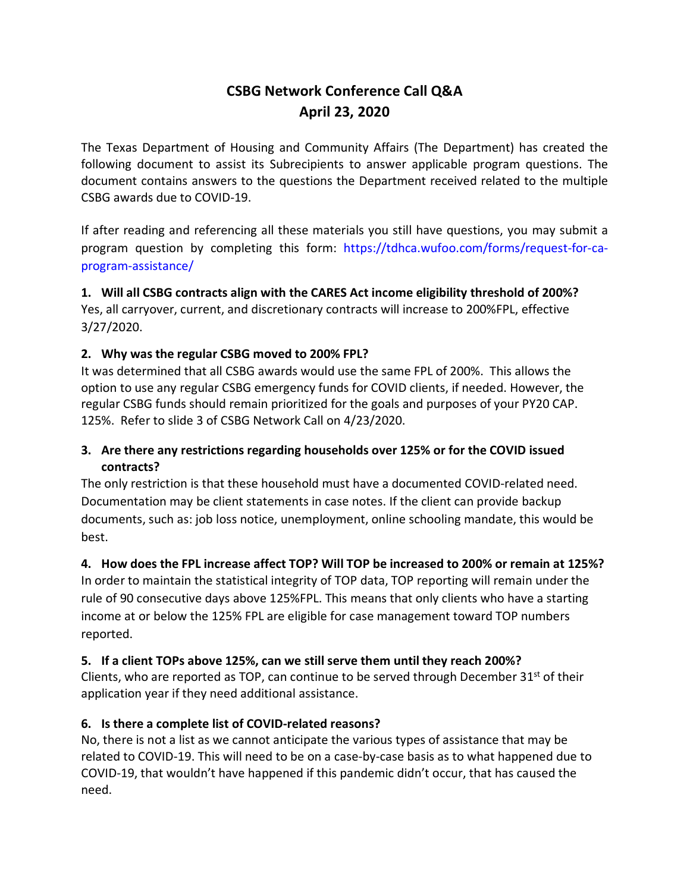# **CSBG Network Conference Call Q&A April 23, 2020**

The Texas Department of Housing and Community Affairs (The Department) has created the following document to assist its Subrecipients to answer applicable program questions. The document contains answers to the questions the Department received related to the multiple CSBG awards due to COVID-19.

If after reading and referencing all these materials you still have questions, you may submit a program question by completing this form: https://tdhca.wufoo.com/forms/request-for-caprogram-assistance/

**1. Will all CSBG contracts align with the CARES Act income eligibility threshold of 200%?** Yes, all carryover, current, and discretionary contracts will increase to 200%FPL, effective 3/27/2020.

## **2. Why was the regular CSBG moved to 200% FPL?**

It was determined that all CSBG awards would use the same FPL of 200%. This allows the option to use any regular CSBG emergency funds for COVID clients, if needed. However, the regular CSBG funds should remain prioritized for the goals and purposes of your PY20 CAP. 125%. Refer to slide 3 of CSBG Network Call on 4/23/2020.

## **3. Are there any restrictions regarding households over 125% or for the COVID issued contracts?**

The only restriction is that these household must have a documented COVID-related need. Documentation may be client statements in case notes. If the client can provide backup documents, such as: job loss notice, unemployment, online schooling mandate, this would be best.

## **4. How does the FPL increase affect TOP? Will TOP be increased to 200% or remain at 125%?**

In order to maintain the statistical integrity of TOP data, TOP reporting will remain under the rule of 90 consecutive days above 125%FPL. This means that only clients who have a starting income at or below the 125% FPL are eligible for case management toward TOP numbers reported.

## **5. If a client TOPs above 125%, can we still serve them until they reach 200%?**

Clients, who are reported as TOP, can continue to be served through December  $31<sup>st</sup>$  of their application year if they need additional assistance.

## **6. Is there a complete list of COVID-related reasons?**

No, there is not a list as we cannot anticipate the various types of assistance that may be related to COVID-19. This will need to be on a case-by-case basis as to what happened due to COVID-19, that wouldn't have happened if this pandemic didn't occur, that has caused the need.